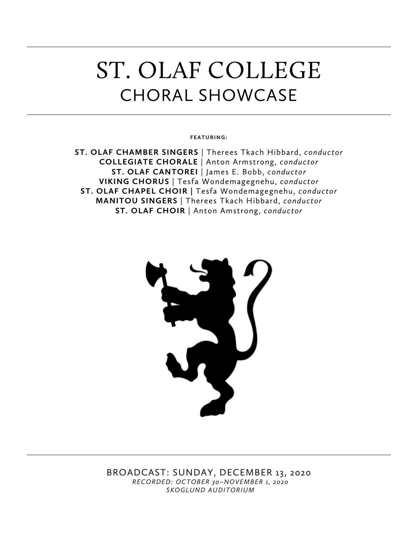# ST. OLAF COLLEGE CHORAL SHOWCASE

#### **FEATURING:**

**ST. OLAF CHAMBER SINGERS** | Therees Tkach Hibbard, *conductor* **COLLEGIATE CHORALE** | Anton Armstrong, *conductor* **ST. OLAF CANTOREI** | James E. Bobb, *conductor* **VIKING CHORUS** | Tesfa Wondemagegnehu, *conductor* **ST. OLAF CHAPEL CHOIR |** Tesfa Wondemagegnehu, *conductor* **MANITOU SINGERS** | Therees Tkach Hibbard, *conductor* **ST. OLAF CHOIR** | Anton Amstrong, *conductor*



BROADCAST: SUNDAY, DECEMBER 13, 2020 *RECORDED: OCTOBER 30–NOVEMBER 1, 2020 SKOGLUND AUDITORIUM*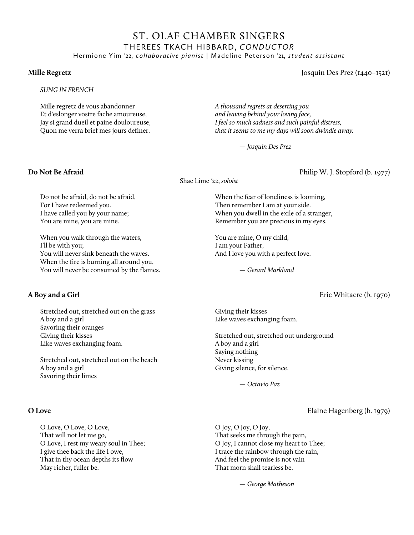# ST. OLAF CHAMBER SINGERS THEREES TKACH HIBBARD, *CONDUCTOR*

Hermione Yim '22, *collaborative pianist* | Madeline Peterson '21, *student assistant*

*SUNG IN FRENCH*

Mille regretz de vous abandonner Et d'eslonger vostre fache amoureuse, Jay si grand dueil et paine douloureuse, Quon me verra brief mes jours definer.

### **Mille Regretz** Josquin Des Prez (1440–1521)

*A thousand regrets at deserting you and leaving behind your loving face, I feel so much sadness and such painful distress, that it seems to me my days will soon dwindle away.*

*— Josquin Des Prez*

Shae Lime *'*22, *soloist*

**Do Not Be Afraid** Philip W. J. Stopford (b. 1977)

Do not be afraid, do not be afraid, For I have redeemed you. I have called you by your name; You are mine, you are mine.

When you walk through the waters, I'll be with you; You will never sink beneath the waves. When the fire is burning all around you, You will never be consumed by the flames.

Stretched out, stretched out on the grass A boy and a girl Savoring their oranges Giving their kisses Like waves exchanging foam.

Stretched out, stretched out on the beach A boy and a girl Savoring their limes

O Love, O Love, O Love, That will not let me go, O Love, I rest my weary soul in Thee; I give thee back the life I owe, That in thy ocean depths its flow May richer, fuller be.

When the fear of loneliness is looming, Then remember I am at your side. When you dwell in the exile of a stranger, Remember you are precious in my eyes.

You are mine, O my child, I am your Father, And I love you with a perfect love.

*— Gerard Markland*

**A Boy and a Girl** Eric Whitacre (b. 1970)

Giving their kisses Like waves exchanging foam.

Stretched out, stretched out underground A boy and a girl Saying nothing Never kissing Giving silence, for silence.

*— Octavio Paz*

### **O Love** Elaine Hagenberg (b. 1979)

O Joy, O Joy, O Joy, That seeks me through the pain, O Joy, I cannot close my heart to Thee; I trace the rainbow through the rain, And feel the promise is not vain That morn shall tearless be.

*— George Matheson*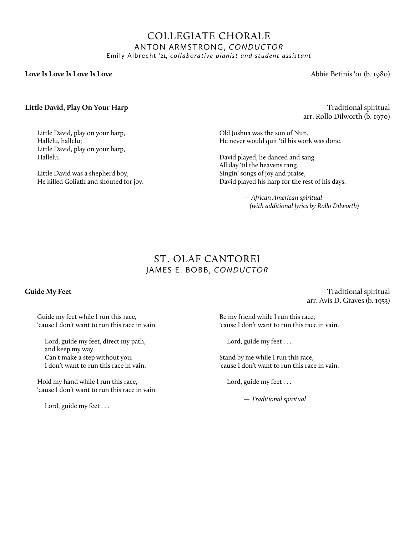COLLEGIATE CHORALE ANTON ARMSTRONG, *CONDUCTOR* Emily Albrecht '21, *collaborative pianist and student assistant*

### **Love Is Love Is Love Is Love**  $\alpha$  **Love** Is Love

### **Little David, Play On Your Harp**  Traditional spiritual

Little David, play on your harp, Hallelu, hallelu; Little David, play on your harp, Hallelu.

Little David was a shepherd boy, He killed Goliath and shouted for joy. arr. Rollo Dilworth (b. 1970)

Old Joshua was the son of Nun, He never would quit 'til his work was done.

David played, he danced and sang All day 'til the heavens rang. Singin' songs of joy and praise, David played his harp for the rest of his days.

> *— African American spiritual (with additional lyrics by Rollo Dilworth)*

# ST. OLAF CANTOREI JAMES E. BOBB, *CONDUCTOR*

**Guide My Feet** Traditional spiritual spiritual spiritual spiritual spiritual spiritual spiritual spiritual spiritual spiritual spiritual spiritual spiritual spiritual spiritual spiritual spiritual spiritual spiritual spir arr. Avis D. Graves (b. 1953)

Guide my feet while I run this race, 'cause I don't want to run this race in vain.

Lord, guide my feet, direct my path, and keep my way. Can't make a step without you. I don't want to run this race in vain.

Hold my hand while I run this race, 'cause I don't want to run this race in vain.

Lord, guide my feet . . .

Be my friend while I run this race, 'cause I don't want to run this race in vain.

Lord, guide my feet . . .

Stand by me while I run this race, 'cause I don't want to run this race in vain.

Lord, guide my feet . . .

*— Traditional spiritual*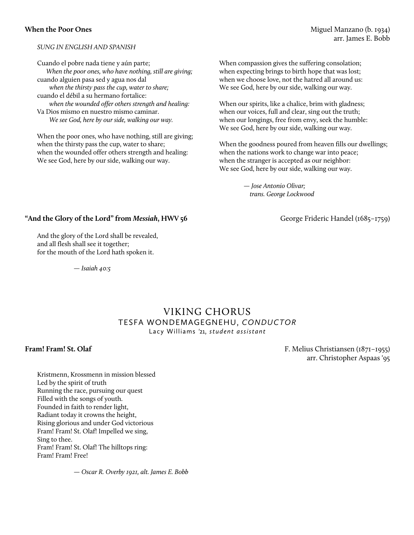*SUNG IN ENGLISH AND SPANISH*

Cuando el pobre nada tiene y aún parte; *When the poor ones, who have nothing, still are giving;* cuando alguien pasa sed y agua nos dal *when the thirsty pass the cup, water to share;* cuando el débil a su hermano fortalice: *when the wounded offer others strength and healing:* Va Dios mismo en nuestro mismo caminar. *We see God, here by our side, walking our way.*

When the poor ones, who have nothing, still are giving; when the thirsty pass the cup, water to share; when the wounded offer others strength and healing: We see God, here by our side, walking our way.

When compassion gives the suffering consolation; when expecting brings to birth hope that was lost; when we choose love, not the hatred all around us: We see God, here by our side, walking our way.

When our spirits, like a chalice, brim with gladness; when our voices, full and clear, sing out the truth; when our longings, free from envy, seek the humble: We see God, here by our side, walking our way.

When the goodness poured from heaven fills our dwellings; when the nations work to change war into peace; when the stranger is accepted as our neighbor: We see God, here by our side, walking our way.

> *— Jose Antonio Olivar; trans. George Lockwood*

### **"And the Glory of the Lord" from** *Messiah***, HWV 56** George Frideric Handel (1685–1759)

And the glory of the Lord shall be revealed, and all flesh shall see it together; for the mouth of the Lord hath spoken it.

*— Isaiah 40:5*

## VIKING CHORUS TESFA WONDEMAGEGNEHU, *CONDUCTOR* Lacy Williams *'*21, *student assistant*

**Fram! Fram! St. Olaf** F. Melius Christiansen (1871–1955) arr. Christopher Aspaas '95

Kristmenn, Krossmenn in mission blessed Led by the spirit of truth Running the race, pursuing our quest Filled with the songs of youth. Founded in faith to render light, Radiant today it crowns the height, Rising glorious and under God victorious Fram! Fram! St. Olaf! Impelled we sing, Sing to thee. Fram! Fram! St. Olaf! The hilltops ring: Fram! Fram! Free!

— *Oscar R. Overby 1921, alt. James E. Bobb*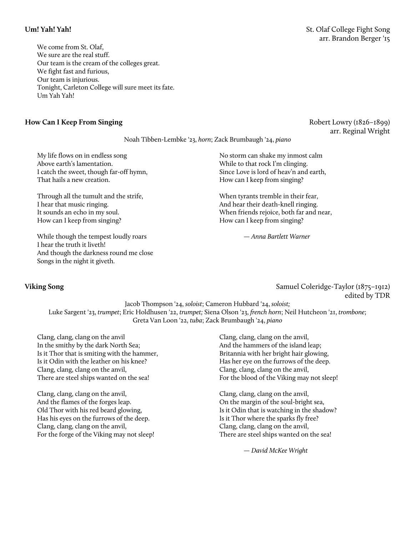### **Um! Yah! Yah!** St. Olaf College Fight Song arr. Brandon Berger '15

We come from St. Olaf,

We sure are the real stuff. Our team is the cream of the colleges great. We fight fast and furious, Our team is injurious. Tonight, Carleton College will sure meet its fate. Um Yah Yah!

# **How Can I Keep From Singing Robert Lowry (1826–1899)** Robert Lowry (1826–1899)

arr. Reginal Wright

Noah Tibben-Lembke '23, *horn*; Zack Brumbaugh '24, *piano*

My life flows on in endless song Above earth's lamentation. I catch the sweet, though far-off hymn, That hails a new creation.

Through all the tumult and the strife, I hear that music ringing. It sounds an echo in my soul. How can I keep from singing?

While though the tempest loudly roars I hear the truth it liveth! And though the darkness round me close Songs in the night it giveth.

No storm can shake my inmost calm While to that rock I'm clinging. Since Love is lord of heav'n and earth, How can I keep from singing?

When tyrants tremble in their fear, And hear their death-knell ringing. When friends rejoice, both far and near, How can I keep from singing?

*— Anna Bartlett Warner* 

**Viking Song** Samuel Coleridge-Taylor (1875–1912) edited by TDR

Jacob Thompson '24, *soloist*; Cameron Hubbard '24, *soloist;* Luke Sargent '23, *trumpet*; Eric Holdhusen '22, *trumpet;* Siena Olson '23, *french horn*; Neil Hutcheon '21, *trombone*; Greta Van Loon '22, *tuba*; Zack Brumbaugh '24, *piano*

Clang, clang, clang on the anvil In the smithy by the dark North Sea; Is it Thor that is smiting with the hammer, Is it Odin with the leather on his knee? Clang, clang, clang on the anvil, There are steel ships wanted on the sea!

Clang, clang, clang on the anvil, And the flames of the forges leap. Old Thor with his red beard glowing, Has his eyes on the furrows of the deep. Clang, clang, clang on the anvil, For the forge of the Viking may not sleep! Clang, clang, clang on the anvil, And the hammers of the island leap; Britannia with her bright hair glowing, Has her eye on the furrows of the deep. Clang, clang, clang on the anvil, For the blood of the Viking may not sleep!

Clang, clang, clang on the anvil, On the margin of the soul-bright sea, Is it Odin that is watching in the shadow? Is it Thor where the sparks fly free? Clang, clang, clang on the anvil, There are steel ships wanted on the sea!

*— David McKee Wright*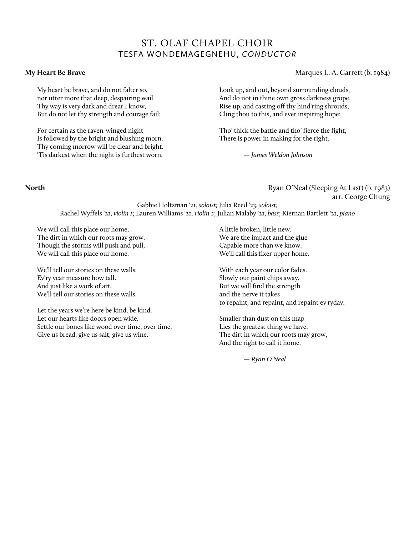# ST. OLAF CHAPEL CHOIR TESFA WONDEMAGEGNEHU, *CONDUCTOR*

My heart be brave, and do not falter so, nor utter more that deep, despairing wail. Thy way is very dark and drear I know, But do not let thy strength and courage fail;

For certain as the raven-winged night Is followed by the bright and blushing morn, Thy coming morrow will be clear and bright. 'Tis darkest when the night is furthest worn.

### **My Heart Be Brave** Matter of the State of the Marques L. A. Garrett (b. 1984)

Look up, and out, beyond surrounding clouds, And do not in thine own gross darkness grope, Rise up, and casting off thy hind'ring shrouds, Cling thou to this, and ever inspiring hope:

Tho' thick the battle and tho' fierce the fight, There is power in making for the right.

*— James Weldon Johnson*

**North** Ryan O'Neal (Sleeping At Last) (b. 1983) arr. George Chung

Gabbie Holtzman '21, *soloist;* Julia Reed '23, *soloist;* Rachel Wyffels '21, *violin 1*; Lauren Williams '21, *violin 2*; Julian Malaby '21, *bass*; Kiernan Bartlett '21, *piano*

We will call this place our home, The dirt in which our roots may grow. Though the storms will push and pull, We will call this place our home.

We'll tell our stories on these walls, Ev'ry year measure how tall. And just like a work of art, We'll tell our stories on these walls.

Let the years we're here be kind, be kind. Let our hearts like doors open wide. Settle our bones like wood over time, over time. Give us bread, give us salt, give us wine.

A little broken, little new. We are the impact and the glue Capable more than we know. We'll call this fixer upper home.

With each year our color fades. Slowly our paint chips away. But we will find the strength and the nerve it takes to repaint, and repaint, and repaint ev'ryday.

Smaller than dust on this map Lies the greatest thing we have, The dirt in which our roots may grow, And the right to call it home.

*— Ryan O'Neal*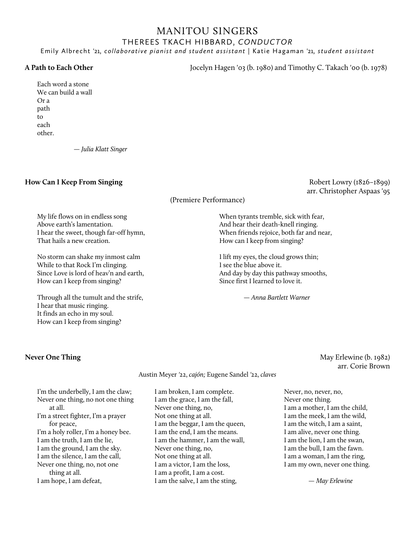# MANITOU SINGERS

THEREES TKACH HIBBARD, *CONDUCTOR*

Emily Albrecht '21, *collaborative pianist and student assistant* | Katie Hagaman '21, *student assistant*

**A Path to Each Other** Jocelyn Hagen '03 (b. 1980) and Timothy C. Takach '00 (b. 1978)

Each word a stone We can build a wall Or a path to each other.

*— Julia Klatt Singer*

### **How Can I Keep From Singing** Robert Lowry (1826–1899)

(Premiere Performance)

My life flows on in endless song Above earth's lamentation. I hear the sweet, though far-off hymn, That hails a new creation.

No storm can shake my inmost calm While to that Rock I'm clinging. Since Love is lord of heav'n and earth, How can I keep from singing?

Through all the tumult and the strife, I hear that music ringing. It finds an echo in my soul. How can I keep from singing?

arr. Christopher Aspaas '95

When tyrants tremble, sick with fear, And hear their death-knell ringing. When friends rejoice, both far and near, How can I keep from singing?

I lift my eyes, the cloud grows thin; I see the blue above it. And day by day this pathway smooths, Since first I learned to love it.

*— Anna Bartlett Warner*

**Never One Thing** May Erlewine (b. 1982) arr. Corie Brown

Austin Meyer *'*22, *cajón;* Eugene Sandel *'*22, *claves* 

I'm the underbelly, I am the claw; Never one thing, no not one thing at all. I'm a street fighter, I'm a prayer for peace, I'm a holy roller, I'm a honey bee. I am the truth, I am the lie, I am the ground, I am the sky. I am the silence, I am the call, Never one thing, no, not one thing at all. I am hope, I am defeat,

I am broken, I am complete. I am the grace, I am the fall, Never one thing, no, Not one thing at all. I am the beggar, I am the queen, I am the end, I am the means. I am the hammer, I am the wall, Never one thing, no, Not one thing at all. I am a victor, I am the loss, I am a profit, I am a cost. I am the salve, I am the sting,

Never, no, never, no, Never one thing. I am a mother, I am the child, I am the meek, I am the wild, I am the witch, I am a saint, I am alive, never one thing. I am the lion, I am the swan, I am the bull, I am the fawn. I am a woman, I am the ring, I am my own, never one thing.

*— May Erlewine*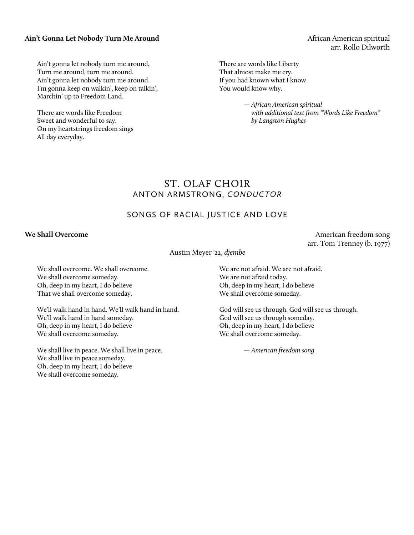### **Ain't Gonna Let Nobody Turn Me Around African American Spiritual** African American spiritual

Ain't gonna let nobody turn me around, Turn me around, turn me around. Ain't gonna let nobody turn me around. I'm gonna keep on walkin', keep on talkin', Marchin' up to Freedom Land.

There are words like Freedom Sweet and wonderful to say. On my heartstrings freedom sings All day everyday.

# arr. Rollo Dilworth

There are words like Liberty That almost make me cry. If you had known what I know You would know why.

> *— African American spiritual with additional text from "Words Like Freedom" by Langston Hughes*

# ST. OLAF CHOIR ANTON ARMSTRONG, *CONDUCTOR*

## SONGS OF RACIAL JUSTICE AND LOVE

**We Shall Overcome** American freedom song arr. Tom Trenney (b. 1977)

Austin Meyer '22, *djembe*

We shall overcome. We shall overcome. We shall overcome someday. Oh, deep in my heart, I do believe That we shall overcome someday.

We'll walk hand in hand. We'll walk hand in hand. We'll walk hand in hand someday. Oh, deep in my heart, I do believe We shall overcome someday.

We shall live in peace. We shall live in peace. We shall live in peace someday. Oh, deep in my heart, I do believe We shall overcome someday.

We are not afraid. We are not afraid. We are not afraid today. Oh, deep in my heart, I do believe We shall overcome someday.

God will see us through. God will see us through. God will see us through someday. Oh, deep in my heart, I do believe We shall overcome someday.

*— American freedom song*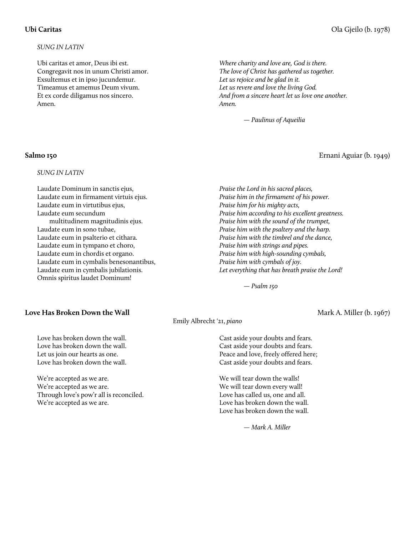*SUNG IN LATIN*

Ubi caritas et amor, Deus ibi est. Congregavit nos in unum Christi amor. Exsultemus et in ipso jucundemur. Timeamus et amemus Deum vivum. Et ex corde diligamus nos sincero. Amen.

**Ubi Caritas** Ola Gjeilo (b. 1978)

*Where charity and love are, God is there. The love of Christ has gathered us together. Let us rejoice and be glad in it. Let us revere and love the living God. And from a sincere heart let us love one another. Amen.*

*— Paulinus of Aqueilia*

**Salmo 150** Ernani Aguiar (b. 1949)

*SUNG IN LATIN*

Laudate Dominum in sanctis ejus, Laudate eum in firmament virtuis ejus. Laudate eum in virtutibus ejus, Laudate eum secundum multitudinem magnitudinis ejus. Laudate eum in sono tubae, Laudate eum in psalterio et cithara. Laudate eum in tympano et choro, Laudate eum in chordis et organo. Laudate eum in cymbalis benesonantibus, Laudate eum in cymbalis jubilationis. Omnis spiritus laudet Dominum!

### *Praise the Lord in his sacred places, Praise him in the firmament of his power. Praise him for his mighty acts, Praise him according to his excellent greatness. Praise him with the sound of the trumpet, Praise him with the psaltery and the harp. Praise him with the timbrel and the dance, Praise him with strings and pipes. Praise him with high-sounding cymbals, Praise him with cymbals of joy. Let everything that has breath praise the Lord!*

*— Psalm 150*

### **Love Has Broken Down the Wall** Mark A. Miller (b. 1967)

Love has broken down the wall. Love has broken down the wall. Let us join our hearts as one. Love has broken down the wall.

We're accepted as we are. We're accepted as we are. Through love's pow'r all is reconciled. We're accepted as we are.

Emily Albrecht '21, *piano*

Cast aside your doubts and fears. Cast aside your doubts and fears. Peace and love, freely offered here; Cast aside your doubts and fears.

We will tear down the walls! We will tear down every wall! Love has called us, one and all. Love has broken down the wall. Love has broken down the wall.

*— Mark A. Miller*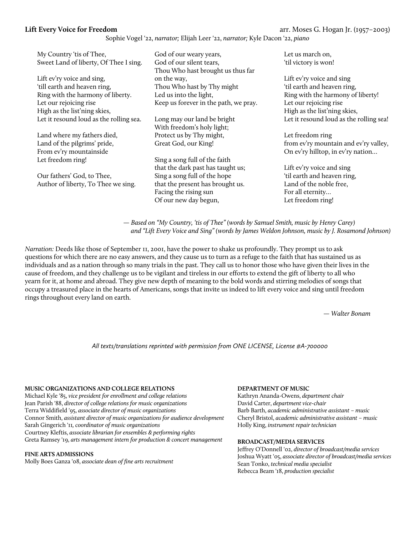**Lift Every Voice for Freedom** arr. Moses G. Hogan Jr. (1957–2003)

Sophie Vogel '22, *narrator;* Elijah Leer '22, *narrator;* Kyle Dacon '22, *piano*

| My Country 'tis of Thee,<br>Sweet Land of liberty, Of Thee I sing. | God of our weary years,<br>God of our silent tears,       | Let us march on,<br>'til victory is won! |
|--------------------------------------------------------------------|-----------------------------------------------------------|------------------------------------------|
|                                                                    | Thou Who hast brought us thus far                         |                                          |
| Lift ev'ry voice and sing,                                         | on the way,                                               | Lift ev'ry voice and sing                |
| 'till earth and heaven ring,                                       | Thou Who hast by Thy might                                | 'til earth and heaven ring,              |
| Ring with the harmony of liberty.                                  | Led us into the light,                                    | Ring with the harmony of liberty!        |
| Let our rejoicing rise                                             | Keep us forever in the path, we pray.                     | Let our rejoicing rise                   |
| High as the list'ning skies,                                       |                                                           | High as the list'ning skies,             |
| Let it resound loud as the rolling sea.                            | Long may our land be bright<br>With freedom's holy light; | Let it resound loud as the rolling sea!  |
| Land where my fathers died,                                        | Protect us by Thy might,                                  | Let freedom ring                         |
| Land of the pilgrims' pride,                                       | Great God, our King!                                      | from ev'ry mountain and ev'ry valley,    |
| From ev'ry mountainside                                            |                                                           | On ev'ry hilltop, in ev'ry nation        |
| Let freedom ring!                                                  | Sing a song full of the faith                             |                                          |
|                                                                    | that the dark past has taught us;                         | Lift ev'ry voice and sing                |
| Our fathers' God, to Thee,                                         | Sing a song full of the hope                              | 'til earth and heaven ring,              |
| Author of liberty, To Thee we sing.                                | that the present has brought us.                          | Land of the noble free,                  |
|                                                                    | Facing the rising sun                                     | For all eternity                         |
|                                                                    | Of our new day begun,                                     | Let freedom ring!                        |

*— Based on "My Country, 'tis of Thee" (words by Samuel Smith, music by Henry Carey) and "Lift Every Voice and Sing" (words by James Weldon Johnson, music by J. Rosamond Johnson)*

*Narration:* Deeds like those of September 11, 2001, have the power to shake us profoundly. They prompt us to ask questions for which there are no easy answers, and they cause us to turn as a refuge to the faith that has sustained us as individuals and as a nation through so many trials in the past. They call us to honor those who have given their lives in the cause of freedom, and they challenge us to be vigilant and tireless in our efforts to extend the gift of liberty to all who yearn for it, at home and abroad. They give new depth of meaning to the bold words and stirring melodies of songs that occupy a treasured place in the hearts of Americans, songs that invite us indeed to lift every voice and sing until freedom rings throughout every land on earth.

*— Walter Bonam*

*All texts/translations reprinted with permission from ONE LICENSE, License #A-700000*

#### **MUSIC ORGANIZATIONS AND COLLEGE RELATIONS**

Michael Kyle '85, *vice president for enrollment and college relations* Jean Parish '88, *director of college relations for music organizations*  Terra Widdifield '95, *associate director of music organizations*  Connor Smith, *assistant director of music organizations for audience development* Sarah Gingerich '11*, coordinator of music organizations* Courtney Kleftis, *associate librarian for ensembles & performing rights* Greta Ramsey '19, *arts management intern for production & concert management*

#### **FINE ARTS ADMISSIONS**

Molly Boes Ganza '08, *associate dean of fine arts recruitment* 

#### **DEPARTMENT OF MUSIC**

Kathryn Ananda-Owens, *department chair* David Carter, *department vice-chair* Barb Barth, *academic administrative assistant – music* Cheryl Bristol, *academic administrative assistant – music*  Holly King, *instrument repair technician* 

#### **BROADCAST/MEDIA SERVICES**

Jeffrey O'Donnell '02, *director of broadcast/media services* Joshua Wyatt '05, *associate director of broadcast/media services* Sean Tonko, *technical media specialist* Rebecca Beam '18, *production specialist*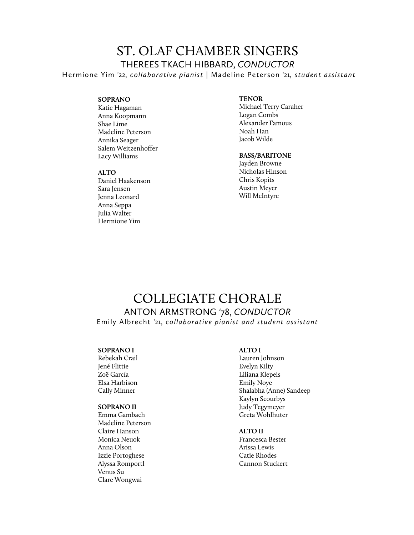# ST. OLAF CHAMBER SINGERS

# THEREES TKACH HIBBARD, *CONDUCTOR*

Hermione Yim '22, *collaborative pianist* | Madeline Peterson '21, *student assistant*

#### **SOPRANO**

Katie Hagaman Anna Koopmann Shae Lime Madeline Peterson Annika Seager Salem Weitzenhoffer Lacy Williams

### **ALTO**

Daniel Haakenson Sara Jensen Jenna Leonard Anna Seppa Julia Walter Hermione Yim

#### **TENOR**

Michael Terry Caraher Logan Combs Alexander Famous Noah Han Jacob Wilde

#### **BASS/BARITONE**

Jayden Browne Nicholas Hinson Chris Kopits Austin Meyer Will McIntyre

# COLLEGIATE CHORALE ANTON ARMSTRONG *'*78, *CONDUCTOR* Emily Albrecht '21, *collaborative pianist and student assistant*

### **SOPRANO I**

Rebekah Crail Jené Flittie Zoë García Elsa Harbison Cally Minner

#### **SOPRANO II**

Emma Gambach Madeline Peterson Claire Hanson Monica Neuok Anna Olson Izzie Portoghese Alyssa Romportl Venus Su Clare Wongwai

### **ALTO I**

Lauren Johnson Evelyn Kilty Liliana Klepeis Emily Noye Shalabha (Anne) Sandeep Kaylyn Scourbys Judy Tegymeyer Greta Wohlhuter

#### **ALTO II**

Francesca Bester Arissa Lewis Catie Rhodes Cannon Stuckert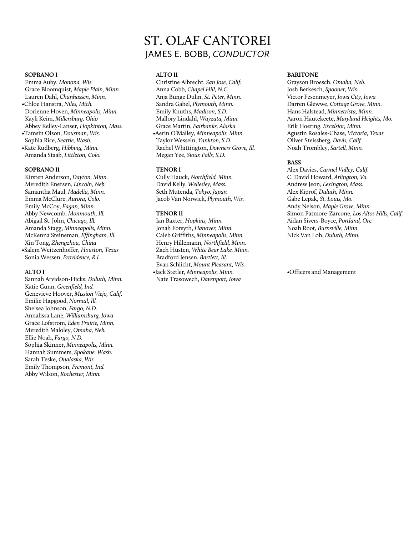#### **SOPRANO I**

Emma Auby, *Monona, Wis.* Grace Bloomquist, *Maple Plain, Minn.* Lauren Dahl, *Chanhassen, Minn.*

•Chloe Hanstra, *Niles, Mich.* Dorienne Hoven, *Minneapolis, Minn.* Kayli Keim, *Millersburg, Ohio* Abbey Kelley-Lanser, *Hopkinton, Mass.*

•Tamsin Olson, *Dousman, Wis.*

- Sophia Rice*, Seattle, Wash.* •Kate Rudberg, *Hibbing, Minn.*
- Amanda Staab, *Littleton, Colo.*

#### **SOPRANO II**

Kirsten Anderson, *Dayton, Minn.* Meredith Enersen, *Lincoln, Neb.* Samantha Maul, *Madelia, Minn.* Emma McClure, *Aurora, Colo.* Emily McCoy, *Eagan, Minn.* Abby Newcomb, *Monmouth, Ill.* Abigail St. John, *Chicago, Ill.* Amanda Stagg, *Minneapolis, Minn.* McKenna Steineman, *Effingham, Ill.* Xin Tong, *Zhengzhou, China* •Salem Weitzenhoffer, *Houston, Texas* Sonia Wessen, *Providence, R.I.*

#### **ALTO I**

Sannah Arvidson-Hicks, *Duluth, Minn.* Katie Gunn, *Greenfield, Ind.* Genevieve Hoover, *Mission Viejo, Calif.* Emilie Hapgood, *Normal, Ill.* Shelsea Johnson, *Fargo, N.D.* Annalissa Lane, *Williamsburg, Iowa* Grace Lofstrom, *Eden Prairie, Minn.* Meredith Maloley, *Omaha, Neb.* Ellie Noah, *Fargo, N.D.* Sophia Skinner, *Minneapolis, Minn.* Hannah Summers, *Spokane, Wash.* Sarah Teske, *Onalaska, Wis.* Emily Thompson, *Fremont, Ind.* Abby Wilson, *Rochester, Minn.*

# ST. OLAF CANTOREI JAMES E. BOBB, *CONDUCTOR*

#### **ALTO II**

Christine Albrecht, *San Jose, Calif.* Anna Cobb, *Chapel Hill, N.C.* Anja Bunge Dulin, *St. Peter, Minn.* Sandra Gabel, *Plymouth, Minn.* Emily Knuths, *Madison, S.D.* Mallory Lindahl, *Wayzata, Minn.* Grace Martin, *Fairbanks, Alaska* •Aerin O'Malley, *Minneapolis, Minn.* Taylor Wesseln, *Yankton, S.D.* Rachel Whittington, *Downers Grove, Ill.* Megan Yee, *Sioux Falls, S.D.*

#### **TENOR I**

Cully Hauck, *Northfield, Minn.* David Kelly, *Wellesley, Mass.* Seth Mutenda, *Tokyo, Japan* Jacob Van Norwick, *Plymouth, Wis.*

#### **TENOR II**

Ian Baxter, *Hopkins, Minn.* Jonah Forsyth, *Hanover, Minn.* Caleb Griffiths, *Minneapolis, Minn.* Henry Hillemann, *Northfield, Minn.* Zach Husten, *White Bear Lake, Minn.* Bradford Jensen, *Bartlett, Ill.* Evan Schlicht, *Mount Pleasant, Wis.* •Jack Stetler, *Minneapolis, Minn.* Nate Trasowech, *Davenport, Iowa*

#### **BARITONE**

Grayson Broesch, *Omaha, Neb.* Josh Berkesch, *Spooner, Wis.* Victor Fesenmeyer, *Iowa City, Iowa* Darren Glewwe, *Cottage Grove, Minn.* Hans Halstead, *Minnetrista, Minn.* Aaron Hautekeete, *Maryland Heights, Mo.* Erik Hoeting, *Excelsior, Minn.* Agustin Rosales-Chase, *Victoria, Texas* Oliver Steissberg, *Davis, Calif.* Noah Trombley, *Sartell, Minn.*

#### **BASS**

Alex Davies, *Carmel Valley, Calif.* C. David Howard, *Arlington, Va.* Andrew Jeon, *Lexington, Mass.* Alex Kiprof, *Duluth, Minn.* Gabe Lepak, *St. Louis, Mo.* Andy Nelson, *Maple Grove, Minn.* Simon Patmore-Zarcone, *Los Altos Hills, Calif.* Aidan Sivers-Boyce, *Portland, Ore.* Noah Root, *Burnsville, Minn.* Nick Van Loh, *Duluth, Minn.*

•Officers and Management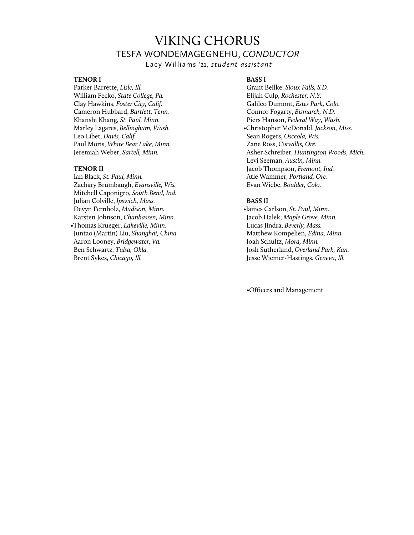# VIKING CHORUS TESFA WONDEMAGEGNEHU, *CONDUCTOR* Lacy Williams '21, *student assistant*

# **TENOR I**

Parker Barrette, *Lisle, Ill.* William Fecko, *State College, Pa.* Clay Hawkins, *Foster City, Calif.* Cameron Hubbard, *Bartlett, Tenn.* Khanshi Khang, *St. Paul, Minn.* Marley Lagares, *Bellingham, Wash.* Leo Libet, *Davis, Calif.* Paul Moris, *White Bear Lake, Minn.* Jeremiah Weber, *Sartell, Minn.*

#### **TENOR II**

Ian Black, *St. Paul, Minn.* Zachary Brumbaugh, *Evansville, Wis.* Mitchell Caponigro, *South Bend, Ind.* Julian Colville, *Ipswich, Mass.* Devyn Fernholz, *Madison, Minn.* Karsten Johnson, *Chanhassen, Minn.* •Thomas Krueger, *Lakeville, Minn.*

Juntao (Martin) Liu, *Shanghai, China* Aaron Looney, *Bridgewater, Va.* Ben Schwartz, *Tulsa, Okla.* Brent Sykes, *Chicago, Ill.*

### **BASS I**

Grant Beilke, *Sioux Falls, S.D.* Elijah Culp, *Rochester, N.Y.* Galileo Dumont, *Estes Park, Colo.* Connor Fogarty, *Bismarck, N.D.* Piers Hanson, *Federal Way, Wash.* •Christopher McDonald, *Jackson, Miss.* Sean Rogers, *Osceola, Wis.* Zane Ross, *Corvallis, Ore.* Asher Schreiber, *Huntington Woods, Mich.* Levi Seeman, *Austin, Minn.* Jacob Thompson, *Fremont, Ind.* Atle Wammer, *Portland, Ore.* Evan Wiebe, *Boulder, Colo.*

### **BASS II**

•James Carlson, *St. Paul, Minn.* Jacob Halek, *Maple Grove, Minn.* Lucas Jindra, *Beverly, Mass.* Matthew Kompelien, *Edina, Minn.* Joah Schultz, *Mora, Minn.* Josh Sutherland, *Overland Park, Kan.* Jesse Wiemer-Hastings, *Geneva, Ill.*

•Officers and Management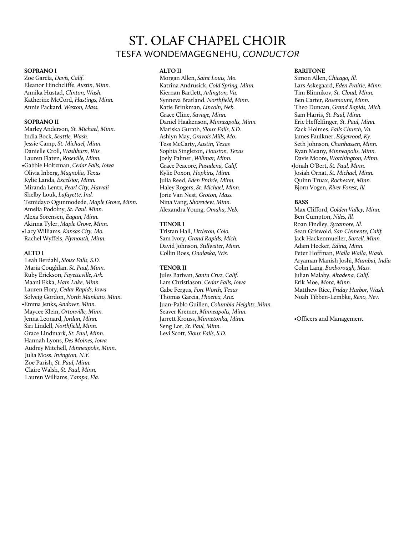# ST. OLAF CHAPEL CHOIR TESFA WONDEMAGEGNEHU, *CONDUCTOR*

#### **SOPRANO I**

Zoë García, *Davis, Calif.* Eleanor Hinchcliffe, *Austin, Minn.* Annika Hustad, *Clinton, Wash.* Katherine McCord, *Hastings, Minn.* Annie Packard, *Weston, Mass.*

#### **SOPRANO II**

Marley Anderson, *St. Michael, Minn.* India Bock, *Seattle, Wash.* Jessie Camp, *St. Michael, Minn.* Danielle Croll, *Washburn, Wis.* Lauren Flaten, *Roseville, Minn.* •Gabbie Holtzman, *Cedar Falls, Iowa* Olivia Inberg, *Magnolia, Texas* Kylie Landa, *Excelsior, Minn.* Miranda Lentz, *Pearl City, Hawaii* Shelby Louk, *Lafayette, Ind.* Temidayo Ogunmodede, *Maple Grove, Minn.* Amelia Podolny, *St. Paul. Minn.* Alexa Sorensen, *Eagan, Minn.* Akinna Tyler, *Maple Grove, Minn.* •Lacy Williams, *Kansas City, Mo.* Rachel Wyffels, *Plymouth, Minn.*

#### **ALTO I**

Leah Berdahl, *Sioux Falls, S.D.* Maria Coughlan, *St. Paul, Minn.* Ruby Erickson, *Fayetteville, Ark.* Maani Ekka, *Ham Lake, Minn.* Lauren Flory, *Cedar Rapids, Iowa* Solveig Gordon, *North Mankato, Minn.* •Emma Jenks, *Andover, Minn.* Maycee Klein, *Ortonville, Minn.* Jenna Leonard, *Jordan, Minn.* Siri Lindell, *Northfield, Minn.* Grace Lindmark, *St. Paul, Minn.* Hannah Lyons, *Des Moines, Iowa* Audrey Mitchell, *Minneapolis, Minn.* Julia Moss, *Irvington, N.Y.* Zoe Parish, *St. Paul, Minn.* Claire Walsh, *St. Paul, Minn.* Lauren Williams, *Tampa, Fla.*

#### **ALTO II**

Morgan Allen, *Saint Louis, Mo.* Katrina Andrusick, *Cold Spring, Minn.* Kiernan Bartlett, *Arlington, Va.* Synneva Bratland, *Northfield, Minn.* Katie Brinkman, *Lincoln, Neb.* Grace Cline, *Savage, Minn.* Daniel Haakenson, *Minneapolis, Minn.* Mariska Gurath, *Sioux Falls, S.D.* Ashlyn May, *Gravois Mills, Mo.* Tess McCarty, *Austin, Texas* Sophia Singleton, *Houston, Texas* Joely Palmer, *Willmar, Minn.* Grace Peacore, *Pasadena, Calif.* Kylie Poxon, *Hopkins, Minn.* Julia Reed, *Eden Prairie, Minn.* Haley Rogers, *St. Michael, Minn.* Jorie Van Nest, *Groton, Mass.* Nina Vang, *Shoreview, Minn.* Alexandra Young, *Omaha, Neb.*

#### **TENOR I**

Tristan Hall, *Littleton, Colo.* Sam Ivory, *Grand Rapids, Mich.* David Johnson, *Stillwater, Minn.* Collin Roes, *Onalaska, Wis.*

#### **TENOR II**

Jules Barivan, *Santa Cruz, Calif.* Lars Christiason, *Cedar Falls, Iowa* Gabe Fergus, *Fort Worth, Texas* Thomas Garcia, *Phoenix, Ariz.* Juan-Pablo Guillen, *Columbia Heights, Minn.* Seaver Kremer, *Minneapolis, Minn.* Jarrett Krouss, *Minnetonka, Minn.* Seng Lor, *St. Paul, Minn.* Levi Scott, *Sioux Falls, S.D.*

#### **BARITONE**

Simon Allen, *Chicago, Ill.* Lars Askegaard, *Eden Prairie, Minn.* Tim Blinnikov, *St. Cloud, Minn.* Ben Carter, *Rosemount, Minn.* Theo Duncan, *Grand Rapids, Mich.* Sam Harris, *St. Paul, Minn.* Eric Heffelfinger, *St. Paul, Minn.* Zack Holmes, *Falls Church, Va.* James Faulkner, *Edgewood, Ky.* Seth Johnson, *Chanhassen, Minn.* Ryan Meany, *Minneapolis, Minn.* Davis Moore, *Worthington, Minn.* •Jonah O'Bert, *St. Paul, Minn.* Josiah Ornat, *St. Michael, Minn.*  Quinn Truax, *Rochester, Minn.* Bjorn Vogen, *River Forest, Ill.*

#### **BASS**

Max Clifford, *Golden Valley, Minn.* Ben Cumpton, *Niles, Ill.* Roan Findley, *Sycamore, Ill.* Sean Griswold, *San Clemente, Calif.* Jack Hackenmueller, *Sartell, Minn.* Adam Hecker, *Edina, Minn.* Peter Hoffman, *Walla Walla, Wash.* Aryaman Manish Joshi, *Mumbai, India* Colin Lang, *Boxborough, Mass.*  Julian Malaby, *Altadena, Calif.* Erik Moe, *Mora, Minn.* Matthew Rice, *Friday Harbor, Wash.* Noah Tibben-Lembke, *Reno, Nev.*

•Officers and Management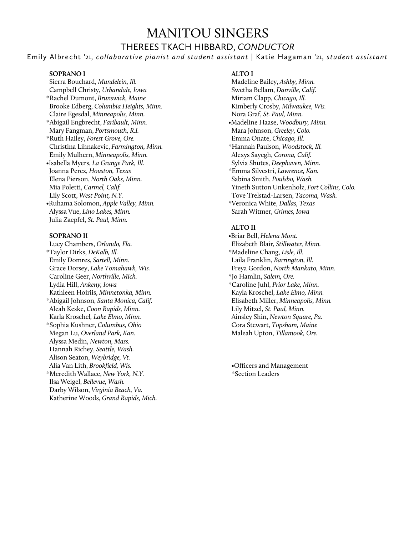# MANITOU SINGERS

# THEREES TKACH HIBBARD, *CONDUCTOR*

Emily Albrecht '21, *collaborative pianist and student assistant* | Katie Hagaman '21, *student assistant*

#### **SOPRANO I**

Sierra Bouchard, *Mundelein, Ill.* Campbell Christy, *Urbandale, Iowa* \*Rachel Dumont, *Brunswick, Maine* Brooke Edberg, *Columbia Heights, Minn.* Claire Egesdal, *Minneapolis, Minn.* \*Abigail Engbrecht, *Faribault, Minn.* Mary Fangman, *Portsmouth, R.I.* \*Ruth Hailey, *Forest Grove, Ore.* Christina Lihnakevic, *Farmington, Minn.* Emily Mulhern, *Minneapolis, Minn.* •Isabella Myers, *La Grange Park, Ill.* Joanna Perez, *Houston, Texas* Elena Pierson, *North Oaks, Minn.* Mia Poletti, *Carmel, Calif.* Lily Scott, *West Point, N.Y.* •Ruhama Solomon, *Apple Valley, Minn.* Alyssa Vue, *Lino Lakes, Minn.* Julia Zaepfel, *St. Paul, Minn.*

#### **SOPRANO II**

Lucy Chambers, *Orlando, Fla.* \*Taylor Dirks, *DeKalb, Ill.* Emily Domres, *Sartell, Minn.* Grace Dorsey, *Lake Tomahawk, Wis.* Caroline Geer, *Northville, Mich.* Lydia Hill, *Ankeny, Iowa* Kathleen Hoiriis, *Minnetonka, Minn.* \*Abigail Johnson, *Santa Monica, Calif.* Aleah Keske, *Coon Rapids, Minn.* Karla Kroschel*, Lake Elmo, Minn.* \*Sophia Kushner, *Columbus, Ohio* Megan Lu, *Overland Park, Kan.* Alyssa Medin, *Newton, Mass.* Hannah Richey, *Seattle, Wash.* Alison Seaton, *Weybridge, Vt.* Alia Van Lith, *Brookfield, Wis.* \*Meredith Wallace, *New York, N.Y.* Ilsa Weigel, *Bellevue, Wash.* Darby Wilson, *Virginia Beach, Va.* Katherine Woods, *Grand Rapids, Mich.*

#### **ALTO I**

Madeline Bailey, *Ashby, Minn.* Swetha Bellam, *Danville, Calif.* Miriam Clapp, *Chicago, Ill.* Kimberly Crosby, *Milwaukee, Wis.* Nora Graf, *St. Paul, Minn.* •Madeline Haase, *Woodbury, Minn.* Mara Johnson, *Greeley, Colo.* Emma Onate, *Chicago, Ill.* \*Hannah Paulson, *Woodstock, Ill.* Alexys Sayegh, *Corona, Calif.* Sylvia Shutes, *Deephaven, Minn.* \*Emma Silvestri, *Lawrence, Kan.* Sabina Smith, *Poulsbo, Wash.* Yineth Sutton Unkenholz, *Fort Collins, Colo.* Tove Trelstad-Larsen, *Tacoma, Wash.* \*Veronica White, *Dallas, Texas* Sarah Witmer, *Grimes, Iowa*

### **ALTO II**

•Briar Bell, *Helena Mont.* Elizabeth Blair, *Stillwater, Minn.* \*Madeline Chang, *Lisle, Ill.* Laila Franklin, *Barrington, Ill.* Freya Gordon, *North Mankato, Minn.* \*Jo Hamlin, *Salem, Ore.* \*Caroline Juhl, *Prior Lake, Minn.* Kayla Kroschel, *Lake Elmo, Minn.* Elisabeth Miller, *Minneapolis, Minn.* Lily Mitzel, *St. Paul, Minn.* Ainsley Shin, *Newton Square, Pa.* Cora Stewart, *Topsham, Maine* Maleah Upton, *Tillamook, Ore.*

•Officers and Management \*Section Leaders